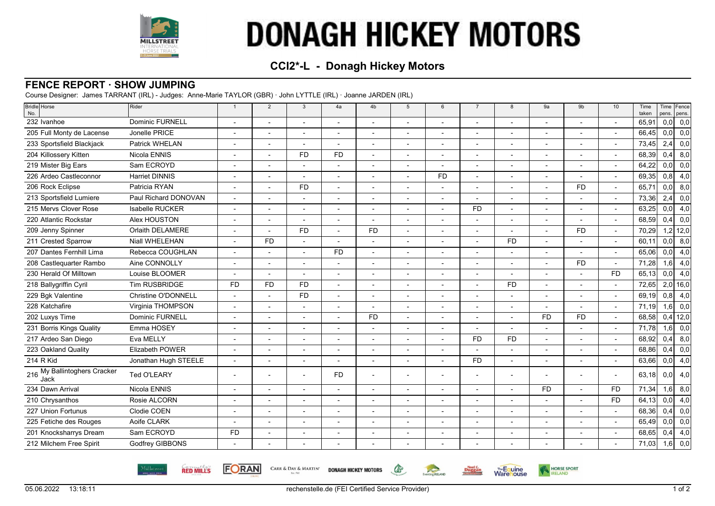

# **DONAGH HICKEY MOTORS**

## **CCI2\*-L - Donagh Hickey Motors**

#### **FENCE REPORT · SHOW JUMPING**

Course Designer: James TARRANT (IRL) - Judges: Anne-Marie TAYLOR (GBR) · John LYTTLE (IRL) · Joanne JARDEN (IRL)

| Bridle Horse<br>No.                     | Rider                 | $\overline{1}$ | $\overline{2}$           | 3                        | 4a                       | 4b                       | 5                        | 6              | $\overline{7}$           | 8              | 9a                       | 9 <sub>b</sub>           | 10                       | Time<br>taken | pens. | Time Fence<br>pens.  |
|-----------------------------------------|-----------------------|----------------|--------------------------|--------------------------|--------------------------|--------------------------|--------------------------|----------------|--------------------------|----------------|--------------------------|--------------------------|--------------------------|---------------|-------|----------------------|
| 232 Ivanhoe                             | Dominic FURNELL       |                |                          |                          |                          |                          |                          |                |                          |                |                          | $\overline{a}$           | $\overline{\phantom{a}}$ | 65,91         | 0,0   | 0,0                  |
| 205 Full Monty de Lacense               | Jonelle PRICE         |                | $\overline{\phantom{a}}$ | $\blacksquare$           | $\blacksquare$           |                          | $\blacksquare$           | ٠              | $\blacksquare$           | $\overline{a}$ | $\blacksquare$           | $\blacksquare$           | $\blacksquare$           | 66,45         | 0,0   | 0,0                  |
| 233 Sportsfield Blackjack               | Patrick WHELAN        |                |                          |                          |                          |                          | $\overline{\phantom{a}}$ |                |                          |                | $\overline{\phantom{a}}$ | $\overline{\phantom{a}}$ | $\blacksquare$           | 73,45         | 2,4   | 0,0                  |
| 204 Killossery Kitten                   | Nicola ENNIS          |                |                          | <b>FD</b>                | <b>FD</b>                |                          |                          |                |                          |                |                          |                          | $\blacksquare$           | 68,39         | 0,4   | 8,0                  |
| 219 Mister Big Ears                     | Sam ECROYD            |                |                          | $\overline{a}$           | $\blacksquare$           |                          | $\overline{\phantom{a}}$ |                | $\overline{\phantom{a}}$ |                | $\overline{\phantom{a}}$ | $\blacksquare$           | $\blacksquare$           | 64,22         | 0,0   | 0,0                  |
| 226 Ardeo Castleconnor                  | <b>Harriet DINNIS</b> |                |                          |                          |                          |                          | $\blacksquare$           | <b>FD</b>      |                          |                | $\overline{\phantom{a}}$ | $\overline{\phantom{a}}$ | $\overline{\phantom{a}}$ | 69,35         | 0,8   | 4,0                  |
| 206 Rock Eclipse                        | Patricia RYAN         |                |                          | <b>FD</b>                |                          |                          |                          |                |                          |                |                          | <b>FD</b>                | $\blacksquare$           | 65,71         | 0, 0  | 8,0                  |
| 213 Sportsfield Lumiere                 | Paul Richard DONOVAN  |                |                          | $\overline{\phantom{a}}$ | $\overline{\phantom{a}}$ |                          |                          | ۰              |                          |                | $\overline{\phantom{a}}$ | $\overline{\phantom{a}}$ | $\overline{\phantom{a}}$ | 73,36         | 2,4   | 0,0                  |
| 215 Mervs Clover Rose                   | Isabelle RUCKER       |                |                          | $\overline{a}$           |                          | $\overline{a}$           |                          | $\overline{a}$ | <b>FD</b>                |                | $\blacksquare$           | $\overline{\phantom{a}}$ | $\mathbf{r}$             | 63,25         | 0,0   | 4,0                  |
| 220 Atlantic Rockstar                   | Alex HOUSTON          |                |                          |                          |                          |                          |                          |                |                          |                |                          |                          |                          | 68,59         | 0,4   | 0,0                  |
| 209 Jenny Spinner                       | Orlaith DELAMERE      |                |                          | <b>FD</b>                | $\overline{a}$           | <b>FD</b>                |                          |                |                          |                |                          | <b>FD</b>                | $\overline{\phantom{a}}$ | 70,29         |       | $1,2$ 12,0           |
| 211 Crested Sparrow                     | Niall WHELEHAN        |                | <b>FD</b>                | $\overline{a}$           | $\overline{\phantom{a}}$ | $\overline{a}$           | $\overline{a}$           |                |                          | <b>FD</b>      | $\blacksquare$           | $\blacksquare$           | $\overline{\phantom{a}}$ | 60.11         | 0,0   | 8,0                  |
| 207 Dantes Fernhill Lima                | Rebecca COUGHLAN      |                |                          |                          | <b>FD</b>                |                          |                          |                |                          |                | $\overline{\phantom{a}}$ | $\overline{\phantom{a}}$ | $\blacksquare$           | 65,06         | 0,0   | 4,0                  |
| 208 Castlequarter Rambo                 | Aine CONNOLLY         |                |                          |                          |                          |                          |                          |                |                          |                |                          | <b>FD</b>                | $\overline{\phantom{a}}$ | 71,28         | 1,6   | 4,0                  |
| 230 Herald Of Milltown                  | Louise BLOOMER        |                |                          | $\overline{a}$           | $\overline{\phantom{a}}$ |                          |                          |                |                          |                |                          | $\blacksquare$           | <b>FD</b>                | 65,13         | 0,0   | 4,0                  |
| 218 Ballygriffin Cyril                  | Tim RUSBRIDGE         | <b>FD</b>      | <b>FD</b>                | <b>FD</b>                |                          |                          |                          |                |                          | <b>FD</b>      |                          |                          |                          | 72,65         |       | $2,0$ 16,0           |
| 229 Bgk Valentine                       | Christine O'DONNELL   |                |                          | <b>FD</b>                |                          |                          |                          |                |                          |                |                          |                          | $\overline{\phantom{a}}$ | 69.19         | 0,8   | 4,0                  |
| 228 Katchafire                          | Virginia THOMPSON     |                |                          |                          | $\overline{\phantom{a}}$ |                          |                          |                |                          |                | $\blacksquare$           | $\overline{\phantom{a}}$ | $\overline{\phantom{a}}$ | 71,19         | 1,6   | 0,0                  |
| 202 Luxys Time                          | Dominic FURNELL       |                |                          |                          |                          | <b>FD</b>                |                          |                |                          |                | <b>FD</b>                | <b>FD</b>                |                          | 68,58         |       | $0,4$ 12,0           |
| 231 Borris Kings Quality                | Emma HOSEY            |                |                          |                          |                          |                          |                          |                |                          |                |                          | $\overline{a}$           | $\blacksquare$           | 71,78         | 1,6   | 0,0                  |
| 217 Ardeo San Diego                     | Eva MELLY             |                | $\overline{\phantom{a}}$ | $\overline{\phantom{a}}$ | $\blacksquare$           | $\blacksquare$           | $\blacksquare$           | $\blacksquare$ | <b>FD</b>                | <b>FD</b>      | $\blacksquare$           | $\overline{\phantom{a}}$ | $\overline{\phantom{a}}$ | 68,92         | 0,4   | 8,0                  |
| 223 Oakland Quality                     | Elizabeth POWER       |                |                          |                          |                          |                          |                          |                |                          |                |                          |                          |                          | 68,86         | 0,4   | 0,0                  |
| 214 R Kid                               | Jonathan Hugh STEELE  |                |                          |                          |                          |                          |                          |                | <b>FD</b>                |                |                          |                          | $\overline{\phantom{a}}$ | 63,66         | 0,0   | 4,0                  |
| My Ballintoghers Cracker<br>216<br>Jack | Ted O'LEARY           |                |                          |                          | <b>FD</b>                |                          |                          |                |                          |                |                          | $\overline{\phantom{a}}$ | $\overline{\phantom{a}}$ | 63,18         | 0,0   | 4,0                  |
| 234 Dawn Arrival                        | Nicola ENNIS          |                | $\overline{\phantom{a}}$ | $\overline{a}$           | $\overline{a}$           | $\overline{a}$           | $\blacksquare$           |                |                          |                | <b>FD</b>                | $\blacksquare$           | <b>FD</b>                | 71,34         | 1,6   | 8,0                  |
| 210 Chrysanthos                         | Rosie ALCORN          |                |                          |                          |                          |                          |                          |                |                          |                |                          |                          | <b>FD</b>                | 64,13         | 0,0   | 4,0                  |
| 227 Union Fortunus                      | Clodie COEN           |                |                          |                          | $\blacksquare$           |                          |                          | $\overline{a}$ | $\overline{\phantom{a}}$ |                |                          | $\blacksquare$           | $\overline{\phantom{a}}$ | 68,36         | 0,4   | 0,0                  |
| 225 Fetiche des Rouges                  | Aoife CLARK           |                | $\overline{\phantom{0}}$ | $\overline{a}$           | $\overline{\phantom{0}}$ | $\overline{\phantom{a}}$ | $\overline{\phantom{a}}$ |                |                          |                | $\overline{\phantom{a}}$ | $\blacksquare$           | $\overline{\phantom{a}}$ | 65,49         | 0,0   | 0,0                  |
| 201 Knocksharrys Dream                  | Sam ECROYD            | <b>FD</b>      |                          |                          |                          |                          |                          |                |                          |                |                          |                          |                          | 68,65         | 0,4   | 4,0                  |
| 212 Milchem Free Spirit                 | Godfrey GIBBONS       |                |                          |                          |                          |                          |                          |                |                          |                |                          |                          |                          | 71,03         |       | $\overline{1,6}$ 0,0 |



**FORAN** 

CARR & DAY & MARTIN' DONAGH HICKEY MOTORS



GS-

**EXECUTE AND** 

**EN HORSE SPORT** 

**Warehouse**